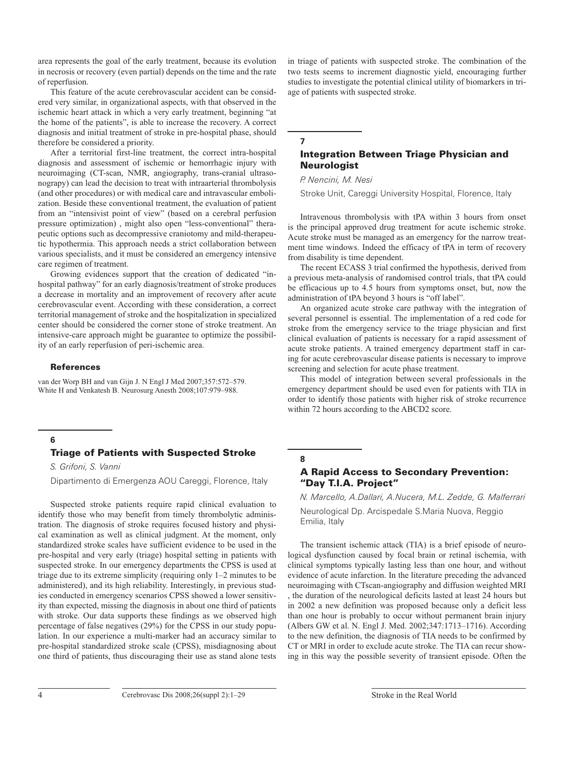area represents the goal of the early treatment, because its evolution in necrosis or recovery (even partial) depends on the time and the rate of reperfusion.

This feature of the acute cerebrovascular accident can be considered very similar, in organizational aspects, with that observed in the ischemic heart attack in which a very early treatment, beginning "at the home of the patients", is able to increase the recovery. A correct diagnosis and initial treatment of stroke in pre-hospital phase, should therefore be considered a priority.

After a territorial first-line treatment, the correct intra-hospital diagnosis and assessment of ischemic or hemorrhagic injury with neuroimaging (CT-scan, NMR, angiography, trans-cranial ultrasonograpy) can lead the decision to treat with intraarterial thrombolysis (and other procedures) or with medical care and intravascular embolization. Beside these conventional treatment, the evaluation of patient from an "intensivist point of view" (based on a cerebral perfusion pressure optimization) , might also open "less-conventional" therapeutic options such as decompressive craniotomy and mild-therapeutic hypothermia. This approach needs a strict collaboration between various specialists, and it must be considered an emergency intensive care regimen of treatment.

Growing evidences support that the creation of dedicated "inhospital pathway" for an early diagnosis/treatment of stroke produces a decrease in mortality and an improvement of recovery after acute cerebrovascular event. According with these consideration, a correct territorial management of stroke and the hospitalization in specialized center should be considered the corner stone of stroke treatment. An intensive-care approach might be guarantee to optimize the possibility of an early reperfusion of peri-ischemic area.

#### References

van der Worp BH and van Gijn J. N Engl J Med 2007;357:572–579. White H and Venkatesh B. Neurosurg Anesth 2008;107:979–988.

### **6**

# Triage of Patients with Suspected Stroke

*S. Grifoni, S. Vanni*

Dipartimento di Emergenza AOU Careggi, Florence, Italy

Suspected stroke patients require rapid clinical evaluation to identify those who may benefit from timely thrombolytic administration. The diagnosis of stroke requires focused history and physical examination as well as clinical judgment. At the moment, only standardized stroke scales have sufficient evidence to be used in the pre-hospital and very early (triage) hospital setting in patients with suspected stroke. In our emergency departments the CPSS is used at triage due to its extreme simplicity (requiring only 1–2 minutes to be administered), and its high reliability. Interestingly, in previous studies conducted in emergency scenarios CPSS showed a lower sensitivity than expected, missing the diagnosis in about one third of patients with stroke. Our data supports these findings as we observed high percentage of false negatives (29%) for the CPSS in our study population. In our experience a multi-marker had an accuracy similar to pre-hospital standardized stroke scale (CPSS), misdiagnosing about one third of patients, thus discouraging their use as stand alone tests in triage of patients with suspected stroke. The combination of the two tests seems to increment diagnostic yield, encouraging further studies to investigate the potential clinical utility of biomarkers in triage of patients with suspected stroke.

# **7**

# Integration Between Triage Physician and **Neurologist**

*P. Nencini, M. Nesi*

Stroke Unit, Careggi University Hospital, Florence, Italy

Intravenous thrombolysis with tPA within 3 hours from onset is the principal approved drug treatment for acute ischemic stroke. Acute stroke must be managed as an emergency for the narrow treatment time windows. Indeed the efficacy of tPA in term of recovery from disability is time dependent.

The recent ECASS 3 trial confirmed the hypothesis, derived from a previous meta-analysis of randomised control trials, that tPA could be efficacious up to 4.5 hours from symptoms onset, but, now the administration of tPA beyond 3 hours is "off label".

An organized acute stroke care pathway with the integration of several personnel is essential. The implementation of a red code for stroke from the emergency service to the triage physician and first clinical evaluation of patients is necessary for a rapid assessment of acute stroke patients. A trained emergency department staff in caring for acute cerebrovascular disease patients is necessary to improve screening and selection for acute phase treatment.

This model of integration between several professionals in the emergency department should be used even for patients with TIA in order to identify those patients with higher risk of stroke recurrence within 72 hours according to the ABCD2 score.

### **8**

# A Rapid Access to Secondary Prevention: "Day T.I.A. Project"

*N. Marcello, A.Dallari, A.Nucera, M.L. Zedde, G. Malferrari*

Neurological Dp. Arcispedale S.Maria Nuova, Reggio Emilia, Italy

The transient ischemic attack (TIA) is a brief episode of neurological dysfunction caused by focal brain or retinal ischemia, with clinical symptoms typically lasting less than one hour, and without evidence of acute infarction. In the literature preceding the advanced neuroimaging with CTscan-angiography and diffusion weighted MRI , the duration of the neurological deficits lasted at least 24 hours but in 2002 a new definition was proposed because only a deficit less than one hour is probably to occur without permanent brain injury (Albers GW et al. N. Engl J. Med. 2002;347:1713–1716). According to the new definition, the diagnosis of TIA needs to be confirmed by CT or MRI in order to exclude acute stroke. The TIA can recur showing in this way the possible severity of transient episode. Often the